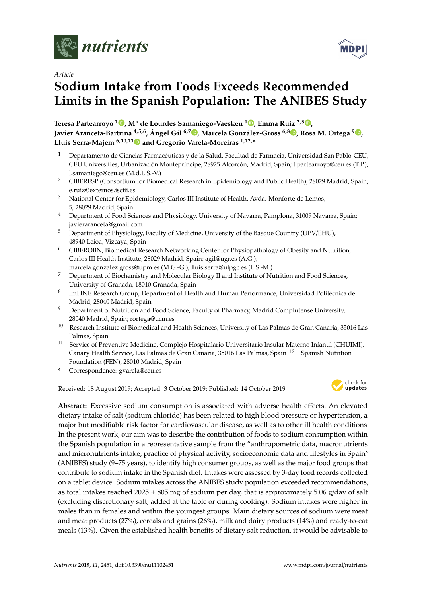



# **Sodium Intake from Foods Exceeds Recommended Limits in the Spanish Population: The ANIBES Study**

**Teresa Partearroyo <sup>1</sup> [,](https://orcid.org/0000-0002-4401-1233) Mª de Lourdes Samaniego-Vaesken <sup>1</sup> [,](https://orcid.org/0000-0001-7323-4420) Emma Ruiz 2,3 [,](https://orcid.org/0000-0003-3662-4440) Javier Aranceta-Bartrina 4,5,6 , Ángel Gil 6,7 [,](https://orcid.org/0000-0001-7663-0939) Marcela González-Gross 6,[8](https://orcid.org/0000-0001-7757-3235) , Rosa M. Ortega <sup>9</sup> [,](https://orcid.org/0000-0003-3837-9450) Lluis Serra-Majem 6,10,1[1](https://orcid.org/0000-0002-9658-9061) and Gregorio Varela-Moreiras 1,12,\***

- <sup>1</sup> Departamento de Ciencias Farmacéuticas y de la Salud, Facultad de Farmacia, Universidad San Pablo-CEU, CEU Universities, Urbanización Montepríncipe, 28925 Alcorcón, Madrid, Spain; t.partearroyo@ceu.es (T.P.); l.samaniego@ceu.es (M.d.L.S.-V.)
- <sup>2</sup> CIBERESP (Consortium for Biomedical Research in Epidemiology and Public Health), 28029 Madrid, Spain; e.ruiz@externos.isciii.es
- $3$  National Center for Epidemiology, Carlos III Institute of Health, Avda. Monforte de Lemos, 5, 28029 Madrid, Spain
- <sup>4</sup> Department of Food Sciences and Physiology, University of Navarra, Pamplona, 31009 Navarra, Spain; javieraranceta@gmail.com
- $\overline{5}$  Department of Physiology, Faculty of Medicine, University of the Basque Country (UPV/EHU), 48940 Leioa, Vizcaya, Spain
- <sup>6</sup> CIBEROBN, Biomedical Research Networking Center for Physiopathology of Obesity and Nutrition, Carlos III Health Institute, 28029 Madrid, Spain; agil@ugr.es (A.G.); marcela.gonzalez.gross@upm.es (M.G.-G.); lluis.serra@ulpgc.es (L.S.-M.)
- <sup>7</sup> Department of Biochemistry and Molecular Biology II and Institute of Nutrition and Food Sciences, University of Granada, 18010 Granada, Spain
- 8 ImFINE Research Group, Department of Health and Human Performance, Universidad Politécnica de Madrid, 28040 Madrid, Spain
- <sup>9</sup> Department of Nutrition and Food Science, Faculty of Pharmacy, Madrid Complutense University, 28040 Madrid, Spain; rortega@ucm.es
- <sup>10</sup> Research Institute of Biomedical and Health Sciences, University of Las Palmas de Gran Canaria, 35016 Las Palmas, Spain
- <sup>11</sup> Service of Preventive Medicine, Complejo Hospitalario Universitario Insular Materno Infantil (CHUIMI), Canary Health Service, Las Palmas de Gran Canaria, 35016 Las Palmas, Spain <sup>12</sup> Spanish Nutrition Foundation (FEN), 28010 Madrid, Spain
- **\*** Correspondence: gvarela@ceu.es

Received: 18 August 2019; Accepted: 3 October 2019; Published: 14 October 2019 -



**Abstract:** Excessive sodium consumption is associated with adverse health effects. An elevated dietary intake of salt (sodium chloride) has been related to high blood pressure or hypertension, a major but modifiable risk factor for cardiovascular disease, as well as to other ill health conditions. In the present work, our aim was to describe the contribution of foods to sodium consumption within the Spanish population in a representative sample from the "anthropometric data, macronutrients and micronutrients intake, practice of physical activity, socioeconomic data and lifestyles in Spain" (ANIBES) study (9–75 years), to identify high consumer groups, as well as the major food groups that contribute to sodium intake in the Spanish diet. Intakes were assessed by 3-day food records collected on a tablet device. Sodium intakes across the ANIBES study population exceeded recommendations, as total intakes reached 2025  $\pm$  805 mg of sodium per day, that is approximately 5.06 g/day of salt (excluding discretionary salt, added at the table or during cooking). Sodium intakes were higher in males than in females and within the youngest groups. Main dietary sources of sodium were meat and meat products (27%), cereals and grains (26%), milk and dairy products (14%) and ready-to-eat meals (13%). Given the established health benefits of dietary salt reduction, it would be advisable to

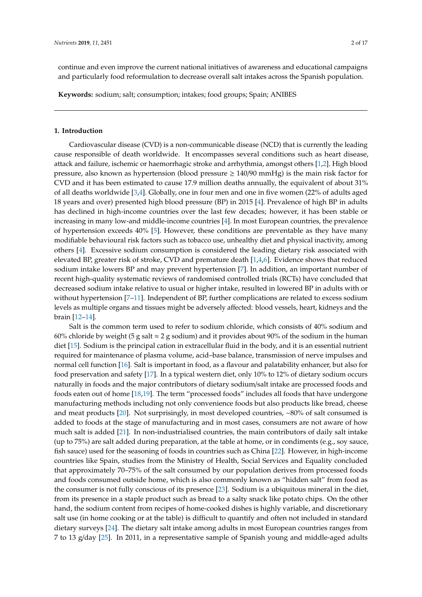continue and even improve the current national initiatives of awareness and educational campaigns and particularly food reformulation to decrease overall salt intakes across the Spanish population.

**Keywords:** sodium; salt; consumption; intakes; food groups; Spain; ANIBES

#### **1. Introduction**

Cardiovascular disease (CVD) is a non-communicable disease (NCD) that is currently the leading cause responsible of death worldwide. It encompasses several conditions such as heart disease, attack and failure, ischemic or haemorrhagic stroke and arrhythmia, amongst others [\[1,](#page-13-0)[2\]](#page-13-1). High blood pressure, also known as hypertension (blood pressure ≥ 140/90 mmHg) is the main risk factor for CVD and it has been estimated to cause 17.9 million deaths annually, the equivalent of about 31% of all deaths worldwide [\[3](#page-13-2)[,4\]](#page-13-3). Globally, one in four men and one in five women (22% of adults aged 18 years and over) presented high blood pressure (BP) in 2015 [\[4\]](#page-13-3). Prevalence of high BP in adults has declined in high-income countries over the last few decades; however, it has been stable or increasing in many low-and middle-income countries [\[4\]](#page-13-3). In most European countries, the prevalence of hypertension exceeds 40% [\[5\]](#page-13-4). However, these conditions are preventable as they have many modifiable behavioural risk factors such as tobacco use, unhealthy diet and physical inactivity, among others [\[4\]](#page-13-3). Excessive sodium consumption is considered the leading dietary risk associated with elevated BP, greater risk of stroke, CVD and premature death  $[1,4,6]$  $[1,4,6]$  $[1,4,6]$ . Evidence shows that reduced sodium intake lowers BP and may prevent hypertension [\[7\]](#page-13-6). In addition, an important number of recent high-quality systematic reviews of randomised controlled trials (RCTs) have concluded that decreased sodium intake relative to usual or higher intake, resulted in lowered BP in adults with or without hypertension [7-[11\]](#page-14-0). Independent of BP, further complications are related to excess sodium levels as multiple organs and tissues might be adversely affected: blood vessels, heart, kidneys and the brain [\[12](#page-14-1)[–14\]](#page-14-2).

Salt is the common term used to refer to sodium chloride, which consists of 40% sodium and 60% chloride by weight (5 g salt  $\approx$  2 g sodium) and it provides about 90% of the sodium in the human diet [\[15\]](#page-14-3). Sodium is the principal cation in extracellular fluid in the body, and it is an essential nutrient required for maintenance of plasma volume, acid–base balance, transmission of nerve impulses and normal cell function [\[16\]](#page-14-4). Salt is important in food, as a flavour and palatability enhancer, but also for food preservation and safety [\[17\]](#page-14-5). In a typical western diet, only 10% to 12% of dietary sodium occurs naturally in foods and the major contributors of dietary sodium/salt intake are processed foods and foods eaten out of home [\[18,](#page-14-6)[19\]](#page-14-7). The term "processed foods" includes all foods that have undergone manufacturing methods including not only convenience foods but also products like bread, cheese and meat products [\[20\]](#page-14-8). Not surprisingly, in most developed countries, ~80% of salt consumed is added to foods at the stage of manufacturing and in most cases, consumers are not aware of how much salt is added [\[21\]](#page-14-9). In non-industrialised countries, the main contributors of daily salt intake (up to 75%) are salt added during preparation, at the table at home, or in condiments (e.g., soy sauce, fish sauce) used for the seasoning of foods in countries such as China [\[22\]](#page-14-10). However, in high-income countries like Spain, studies from the Ministry of Health, Social Services and Equality concluded that approximately 70–75% of the salt consumed by our population derives from processed foods and foods consumed outside home, which is also commonly known as "hidden salt" from food as the consumer is not fully conscious of its presence [\[23\]](#page-14-11). Sodium is a ubiquitous mineral in the diet, from its presence in a staple product such as bread to a salty snack like potato chips. On the other hand, the sodium content from recipes of home-cooked dishes is highly variable, and discretionary salt use (in home cooking or at the table) is difficult to quantify and often not included in standard dietary surveys [\[24\]](#page-14-12). The dietary salt intake among adults in most European countries ranges from 7 to 13 g/day [\[25\]](#page-14-13). In 2011, in a representative sample of Spanish young and middle-aged adults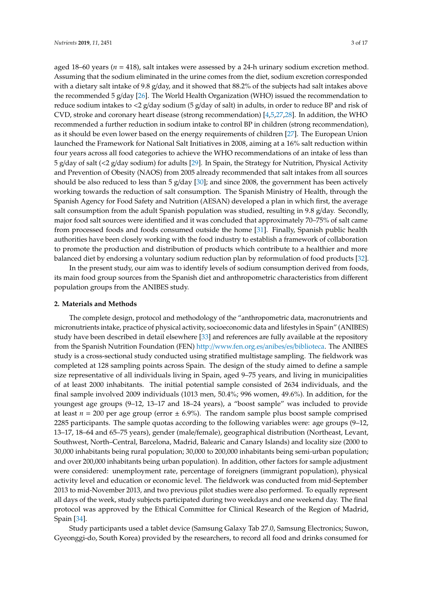aged 18–60 years ( $n = 418$ ), salt intakes were assessed by a 24-h urinary sodium excretion method. Assuming that the sodium eliminated in the urine comes from the diet, sodium excretion corresponded with a dietary salt intake of 9.8 g/day, and it showed that 88.2% of the subjects had salt intakes above the recommended 5 g/day [\[26\]](#page-14-14). The World Health Organization (WHO) issued the recommendation to reduce sodium intakes to <2 g/day sodium (5 g/day of salt) in adults, in order to reduce BP and risk of CVD, stroke and coronary heart disease (strong recommendation) [\[4,](#page-13-3)[5,](#page-13-4)[27,](#page-14-15)[28\]](#page-14-16). In addition, the WHO recommended a further reduction in sodium intake to control BP in children (strong recommendation), as it should be even lower based on the energy requirements of children [\[27\]](#page-14-15). The European Union launched the Framework for National Salt Initiatives in 2008, aiming at a 16% salt reduction within four years across all food categories to achieve the WHO recommendations of an intake of less than 5 g/day of salt (<2 g/day sodium) for adults [\[29\]](#page-14-17). In Spain, the Strategy for Nutrition, Physical Activity and Prevention of Obesity (NAOS) from 2005 already recommended that salt intakes from all sources should be also reduced to less than 5 g/day [\[30\]](#page-14-18); and since 2008, the government has been actively working towards the reduction of salt consumption. The Spanish Ministry of Health, through the Spanish Agency for Food Safety and Nutrition (AESAN) developed a plan in which first, the average salt consumption from the adult Spanish population was studied, resulting in 9.8 g/day. Secondly, major food salt sources were identified and it was concluded that approximately 70–75% of salt came from processed foods and foods consumed outside the home [\[31\]](#page-14-19). Finally, Spanish public health authorities have been closely working with the food industry to establish a framework of collaboration to promote the production and distribution of products which contribute to a healthier and more balanced diet by endorsing a voluntary sodium reduction plan by reformulation of food products [\[32\]](#page-15-0).

In the present study, our aim was to identify levels of sodium consumption derived from foods, its main food group sources from the Spanish diet and anthropometric characteristics from different population groups from the ANIBES study.

#### **2. Materials and Methods**

The complete design, protocol and methodology of the "anthropometric data, macronutrients and micronutrients intake, practice of physical activity, socioeconomic data and lifestyles in Spain" (ANIBES) study have been described in detail elsewhere [\[33\]](#page-15-1) and references are fully available at the repository from the Spanish Nutrition Foundation (FEN) http://[www.fen.org.es](http://www.fen.org.es/anibes/es/biblioteca)/anibes/es/biblioteca. The ANIBES study is a cross-sectional study conducted using stratified multistage sampling. The fieldwork was completed at 128 sampling points across Spain. The design of the study aimed to define a sample size representative of all individuals living in Spain, aged 9–75 years, and living in municipalities of at least 2000 inhabitants. The initial potential sample consisted of 2634 individuals, and the final sample involved 2009 individuals (1013 men, 50.4%; 996 women, 49.6%). In addition, for the youngest age groups (9–12, 13–17 and 18–24 years), a "boost sample" was included to provide at least  $n = 200$  per age group (error  $\pm 6.9$ %). The random sample plus boost sample comprised 2285 participants. The sample quotas according to the following variables were: age groups (9–12, 13–17, 18–64 and 65–75 years), gender (male/female), geographical distribution (Northeast, Levant, Southwest, North–Central, Barcelona, Madrid, Balearic and Canary Islands) and locality size (2000 to 30,000 inhabitants being rural population; 30,000 to 200,000 inhabitants being semi-urban population; and over 200,000 inhabitants being urban population). In addition, other factors for sample adjustment were considered: unemployment rate, percentage of foreigners (immigrant population), physical activity level and education or economic level. The fieldwork was conducted from mid-September 2013 to mid-November 2013, and two previous pilot studies were also performed. To equally represent all days of the week, study subjects participated during two weekdays and one weekend day. The final protocol was approved by the Ethical Committee for Clinical Research of the Region of Madrid, Spain [\[34\]](#page-15-2).

Study participants used a tablet device (Samsung Galaxy Tab 27.0, Samsung Electronics; Suwon, Gyeonggi-do, South Korea) provided by the researchers, to record all food and drinks consumed for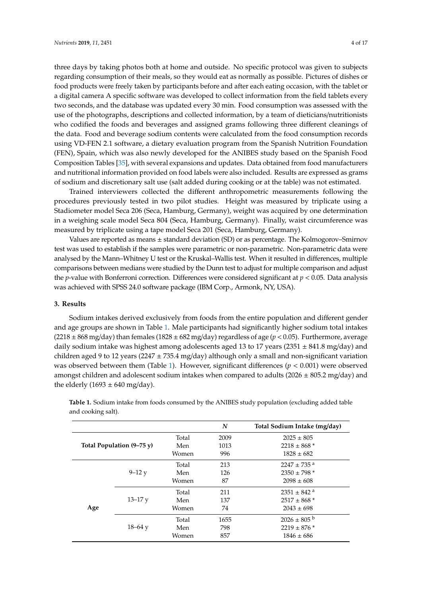three days by taking photos both at home and outside. No specific protocol was given to subjects regarding consumption of their meals, so they would eat as normally as possible. Pictures of dishes or food products were freely taken by participants before and after each eating occasion, with the tablet or a digital camera A specific software was developed to collect information from the field tablets every two seconds, and the database was updated every 30 min. Food consumption was assessed with the use of the photographs, descriptions and collected information, by a team of dieticians/nutritionists who codified the foods and beverages and assigned grams following three different cleanings of the data. Food and beverage sodium contents were calculated from the food consumption records using VD-FEN 2.1 software, a dietary evaluation program from the Spanish Nutrition Foundation (FEN), Spain, which was also newly developed for the ANIBES study based on the Spanish Food Composition Tables [\[35\]](#page-15-3), with several expansions and updates. Data obtained from food manufacturers and nutritional information provided on food labels were also included. Results are expressed as grams of sodium and discretionary salt use (salt added during cooking or at the table) was not estimated.

Trained interviewers collected the different anthropometric measurements following the procedures previously tested in two pilot studies. Height was measured by triplicate using a Stadiometer model Seca 206 (Seca, Hamburg, Germany), weight was acquired by one determination in a weighing scale model Seca 804 (Seca, Hamburg, Germany). Finally, waist circumference was measured by triplicate using a tape model Seca 201 (Seca, Hamburg, Germany).

Values are reported as means  $\pm$  standard deviation (SD) or as percentage. The Kolmogorov–Smirnov test was used to establish if the samples were parametric or non-parametric. Non-parametric data were analysed by the Mann–Whitney U test or the Kruskal–Wallis test. When it resulted in differences, multiple comparisons between medians were studied by the Dunn test to adjust for multiple comparison and adjust the *p*-value with Bonferroni correction. Differences were considered significant at  $p < 0.05$ . Data analysis was achieved with SPSS 24.0 software package (IBM Corp., Armonk, NY, USA).

#### **3. Results**

Sodium intakes derived exclusively from foods from the entire population and different gender and age groups are shown in Table [1.](#page-4-0) Male participants had significantly higher sodium total intakes (2218  $\pm$  868 mg/day) than females (1828  $\pm$  682 mg/day) regardless of age ( $p$  < 0.05). Furthermore, average daily sodium intake was highest among adolescents aged 13 to 17 years (2351  $\pm$  841.8 mg/day) and children aged 9 to 12 years (2247  $\pm$  735.4 mg/day) although only a small and non-significant variation was observed between them (Table [1\)](#page-4-0). However, significant differences  $(p < 0.001)$  were observed amongst children and adolescent sodium intakes when compared to adults ( $2026 \pm 805.2$  mg/day) and the elderly (1693  $\pm$  640 mg/day).

|     |                                     |       | N    | Total Sodium Intake (mg/day) |
|-----|-------------------------------------|-------|------|------------------------------|
|     |                                     | Total | 2009 | $2025 \pm 805$               |
|     | Total Population $(9-75 \text{ y})$ | Men   | 1013 | $2218 \pm 868$ *             |
|     |                                     | Women | 996  | $1828 \pm 682$               |
|     |                                     | Total | 213  | $2247 \pm 735$ <sup>a</sup>  |
|     | $9-12y$                             | Men   | 126  | $2350 \pm 798$ *             |
|     |                                     | Women | 87   | $2098 \pm 608$               |
|     |                                     | Total | 211  | $2351 \pm 842$ <sup>a</sup>  |
|     | $13 - 17y$                          | Men   | 137  | $2517 \pm 868$ *             |
| Age |                                     | Women | 74   | $2043 \pm 698$               |
|     |                                     | Total | 1655 | $2026 \pm 805$ <sup>b</sup>  |
|     | $18 - 64$ y                         | Men   | 798  | $2219 \pm 876$ *             |
|     |                                     | Women | 857  | $1846 \pm 686$               |

**Table 1.** Sodium intake from foods consumed by the ANIBES study population (excluding added table and cooking salt).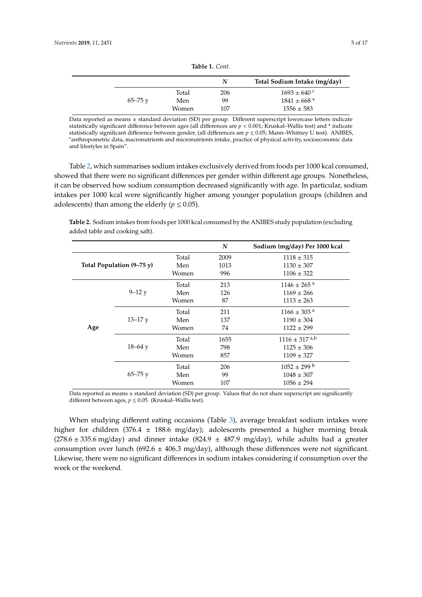<span id="page-4-0"></span>

|             |       | N   | Total Sodium Intake (mg/day) |
|-------------|-------|-----|------------------------------|
|             | Total | 206 | $1693 \pm 640$ c             |
| $65 - 75$ y | Men   | 99  | $1841 \pm 668$ *             |
|             | Women | 107 | $1556 \pm 583$               |

**Table 1.** *Cont.*

Data reported as means ± standard deviation (SD) per group. Different superscript lowercase letters indicate statistically significant difference between ages (all differences are *p* < 0.001; Kruskal–Wallis test) and \* indicate statistically significant difference between gender, (all differences are  $p \le 0.05$ ; Mann–Whitney U test). ANIBES, "anthropometric data, macronutrients and micronutrients intake, practice of physical activity, socioeconomic data and lifestyles in Spain".

Table [2,](#page-4-1) which summarises sodium intakes exclusively derived from foods per 1000 kcal consumed, showed that there were no significant differences per gender within different age groups. Nonetheless, it can be observed how sodium consumption decreased significantly with age. In particular, sodium intakes per 1000 kcal were significantly higher among younger population groups (children and adolescents) than among the elderly ( $p \leq 0.05$ ).

<span id="page-4-1"></span>**Table 2.** Sodium intakes from foods per 1000 kcal consumed by the ANIBES study population (excluding added table and cooking salt).

|     |                           |       | N    | Sodium (mg/day) Per 1000 kcal |
|-----|---------------------------|-------|------|-------------------------------|
|     |                           | Total | 2009 | $1118 \pm 315$                |
|     | Total Population (9–75 y) | Men   | 1013 | $1130 \pm 307$                |
|     |                           | Women | 996  | $1106 \pm 322$                |
|     |                           | Total | 213  | $1146 \pm 265$ <sup>a</sup>   |
|     | $9-12y$                   | Men   | 126  | $1169 \pm 266$                |
|     |                           | Women | 87   | $1113 \pm 263$                |
|     |                           | Total | 211  | $1166 \pm 303$ <sup>a</sup>   |
|     | $13 - 17y$                | Men   | 137  | $1190 \pm 304$                |
| Age |                           | Women | 74   | $1122 \pm 299$                |
|     |                           | Total | 1655 | $1116 \pm 317$ <sup>a,b</sup> |
|     | $18 - 64$ y               | Men   | 798  | $1125 \pm 306$                |
|     |                           | Women | 857  | $1109 \pm 327$                |
|     |                           | Total | 206  | $1052 \pm 299$ b              |
|     | $65 - 75y$                | Men   | 99   | $1048 \pm 307$                |
|     |                           | Women | 107  | $1056 \pm 294$                |

Data reported as means  $\pm$  standard deviation (SD) per group. Values that do not share superscript are significantly different between ages,  $p \le 0.05$ . (Kruskal–Wallis test).

When studying different eating occasions (Table [3\)](#page-5-0), average breakfast sodium intakes were higher for children (376.4 ± 188.6 mg/day); adolescents presented a higher morning break  $(278.6 \pm 335.6 \text{ mg/day})$  and dinner intake  $(824.9 \pm 487.9 \text{ mg/day})$ , while adults had a greater consumption over lunch (692.6  $\pm$  406.3 mg/day), although these differences were not significant. Likewise, there were no significant differences in sodium intakes considering if consumption over the week or the weekend.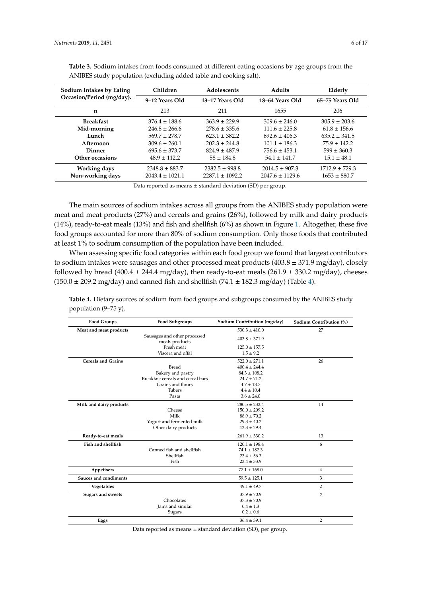| Sodium Intakes by Eating  | Children            | Adolescents         | <b>Adults</b>       | Elderly            |
|---------------------------|---------------------|---------------------|---------------------|--------------------|
| Occasion/Period (mg/day). | 9-12 Years Old      | 13-17 Years Old     | 18-64 Years Old     | 65-75 Years Old    |
| n                         | 213                 | 211                 | 1655                | 206                |
| <b>Breakfast</b>          | $376.4 \pm 188.6$   | $363.9 \pm 229.9$   | $309.6 \pm 246.0$   | $305.9 \pm 203.6$  |
| Mid-morning               | $246.8 \pm 266.6$   | $278.6 \pm 335.6$   | $111.6 \pm 225.8$   | $61.8 \pm 156.6$   |
| Lunch                     | $569.7 \pm 278.7$   | $623.1 \pm 382.2$   | $692.6 \pm 406.3$   | $635.2 \pm 341.5$  |
| Afternoon                 | $309.6 \pm 260.1$   | $202.3 \pm 244.8$   | $101.1 \pm 186.3$   | $75.9 \pm 142.2$   |
| Dinner                    | $695.6 \pm 373.7$   | $824.9 \pm 487.9$   | $756.6 \pm 453.1$   | $599 \pm 360.3$    |
| Other occasions           | $48.9 \pm 112.2$    | $58 \pm 184.8$      | $54.1 \pm 141.7$    | $15.1 \pm 48.1$    |
| Working days              | $2348.8 \pm 883.7$  | $2382.5 \pm 998.8$  | $2014.5 \pm 907.3$  | $1712.9 \pm 729.3$ |
| Non-working days          | $2043.4 \pm 1021.1$ | $2287.1 \pm 1092.2$ | $2047.6 \pm 1129.6$ | $1653 \pm 880.7$   |

<span id="page-5-0"></span>**Table 3.** Sodium intakes from foods consumed at different eating occasions by age groups from the ANIBES study population (excluding added table and cooking salt).

Data reported as means ± standard deviation (SD) per group.

The main sources of sodium intakes across all groups from the ANIBES study population were meat and meat products (27%) and cereals and grains (26%), followed by milk and dairy products (14%), ready-to-eat meals (13%) and fish and shellfish (6%) as shown in Figure [1.](#page-6-0) Altogether, these five food groups accounted for more than 80% of sodium consumption. Only those foods that contributed at least 1% to sodium consumption of the population have been included.

When assessing specific food categories within each food group we found that largest contributors to sodium intakes were sausages and other processed meat products ( $403.8 \pm 371.9$  mg/day), closely followed by bread (400.4  $\pm$  244.4 mg/day), then ready-to-eat meals (261.9  $\pm$  330.2 mg/day), cheeses  $(150.0 \pm 209.2 \text{ mg/day})$  and canned fish and shellfish  $(74.1 \pm 182.3 \text{ mg/day})$  (Table [4\)](#page-5-1).

| <b>Food Groups</b>        | <b>Food Subgroups</b>                          | Sodium Contribution (mg/day) | Sodium Contribution (%) |
|---------------------------|------------------------------------------------|------------------------------|-------------------------|
| Meat and meat products    |                                                | $530.3 \pm 410.0$            | 27                      |
|                           | Sausages and other processed<br>meats products | $403.8 \pm 371.9$            |                         |
|                           | Fresh meat                                     | $125.0 \pm 157.5$            |                         |
|                           | Viscera and offal                              | $1.5 \pm 9.2$                |                         |
| <b>Cereals and Grains</b> |                                                | $522.0 \pm 271.1$            | 26                      |
|                           | Bread                                          | $400.4 \pm 244.4$            |                         |
|                           | Bakery and pastry                              | $84.3 \pm 108.2$             |                         |
|                           | Breakfast cereals and cereal bars              | $24.7 \pm 71.2$              |                         |
|                           | Grains and flours                              | $4.7 \pm 13.7$               |                         |
|                           | Tubers                                         | $4.4 \pm 10.4$               |                         |
|                           | Pasta                                          | $3.6 \pm 24.0$               |                         |
| Milk and dairy products   |                                                | $280.5 \pm 232.4$            | 14                      |
|                           | Cheese                                         | $150.0 \pm 209.2$            |                         |
|                           | Milk                                           | $88.9 \pm 70.2$              |                         |
|                           | Yogurt and fermented milk                      | $29.3 \pm 40.2$              |                         |
|                           | Other dairy products                           | $12.3 \pm 29.4$              |                         |
| Ready-to-eat meals        |                                                | $261.9 \pm 330.2$            | 13                      |
| Fish and shellfish        |                                                | $120.1 \pm 198.4$            | 6                       |
|                           | Canned fish and shellfish                      | $74.1 \pm 182.3$             |                         |
|                           | Shellfish                                      | $23.4 \pm 56.3$              |                         |
|                           | Fish                                           | $23.4 \pm 33.9$              |                         |
| Appetisers                |                                                | $77.1 \pm 168.0$             | $\overline{4}$          |
| Sauces and condiments     |                                                | $59.5 \pm 125.1$             | 3                       |
| Vegetables                |                                                | $49.1 \pm 49.7$              | 2                       |
| Sugars and sweets         |                                                | $37.9 \pm 70.9$              | 2                       |
|                           | Chocolates                                     | $37.3 \pm 70.9$              |                         |
|                           | Jams and similar                               | $0.4 \pm 1.3$                |                         |
|                           | Sugars                                         | $0.2 \pm 0.6$                |                         |
| Eggs                      |                                                | $36.4 \pm 39.1$              | 2                       |

<span id="page-5-1"></span>**Table 4.** Dietary sources of sodium from food groups and subgroups consumed by the ANIBES study population (9–75 y).

Data reported as means  $\pm$  standard deviation (SD), per group.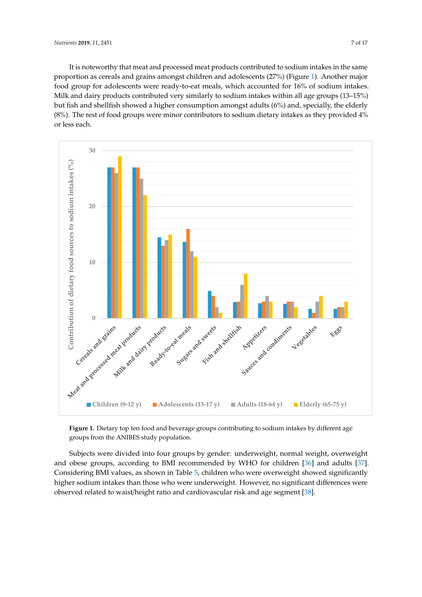It is noteworthy that meat and processed meat products contributed to sodium intakes in the same proportion as cereals and grains amongst children and adolescents (27%) (Figure [1\)](#page-6-0). Another major food group for adolescents were ready-to-eat meals, which accounted for 16% of sodium intakes. Milk and dairy products contributed very similarly to sodium intakes within all age groups (13–15%) but fish and shellfish showed a higher consumption amongst adults (6%) and, specially, the elderly (8%). The rest of food groups were minor contributors to sodium dietary intakes as they provided 4%  $\,$ or less each. provided 4% or less each.

<span id="page-6-0"></span>

**Figure 1.** Dietary top ten food and beverage groups **c**ontributing to sodium intakes by different age **Figure 1.** Dietary top ten food and beverage groups contributing to sodium intakes by different age groups from the ANIBES study population . groups from the ANIBES study population.

Subjects were divided into four groups by gender: underweight, normal weight, overweight and obese groups, according to BMI recommended by WHO for children [36] and a[dult](#page-15-4)s [37]. Considering BMI values, as shown in Table 5, children [wh](#page-7-0)o were overweight showed significantly higher sodium intakes than those who were underweight. However, no significant differences were to waist/height ratio and cardiovascular risk and age segment [38]. observed related to waist/height ratio and cardiovascular risk and age segment [\[38\]](#page-15-6).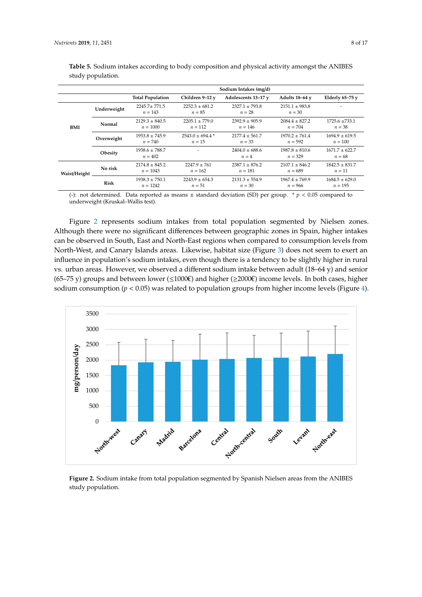|              |             | Sodium Intakes (mg/d)            |                                 |                                |                                 |                                 |
|--------------|-------------|----------------------------------|---------------------------------|--------------------------------|---------------------------------|---------------------------------|
|              |             | <b>Total Population</b>          | Children 9-12 y                 | Adolescents 13-17 y            | Adults 18-64 y                  | Elderly 65-75 y                 |
| <b>BMI</b>   | Underweight | $2245.7 + 771.5$<br>$n = 143$    | $2252.3 + 681.2$<br>$n = 85$    | $2327.1 + 793.8$<br>$n=28$     | $2151.1 + 983.8$<br>$n = 30$    |                                 |
|              | Normal      | $2129.3 \pm 840.5$<br>$n = 1000$ | $2205.1 \pm 779.0$<br>$n = 112$ | $2392.9 + 905.9$<br>$n = 146$  | $2084.4 + 827.2$<br>$n = 704$   | $1725.6 \pm 733.1$<br>$n = 38$  |
|              | Overweight  | $1953.8 \pm 745.9$<br>$n = 740$  | $2543.0 + 694.4*$<br>$n=15$     | $2177.4 \pm 561.7$<br>$n = 33$ | $1970.2 + 761.4$<br>$n = 592$   | $1694.9 \pm 619.5$<br>$n = 100$ |
|              | Obesity     | $1938.6 \pm 788.7$<br>$n = 402$  |                                 | $2404.0 \pm 688.6$<br>$n=4$    | $1987.8 \pm 810.6$<br>$n = 329$ | $1671.7 \pm 622.7$<br>$n = 68$  |
| Waist/Height | No risk     | $2174.8 \pm 845.2$<br>$n = 1043$ | $2247.9 + 761$<br>$n = 162$     | $2387.1 + 876.2$<br>$n = 181$  | $2107.1 + 846.2$<br>$n = 689$   | $1842.5 \pm 831.7$<br>$n=11$    |
|              | Risk        | $1938.3 \pm 750.1$<br>$n = 1242$ | $2243.9 \pm 654.3$<br>$n = 51$  | $2131.3 \pm 554.9$<br>$n = 30$ | $1967.4 \pm 769.9$<br>$n = 966$ | $1684.5 \pm 629.0$<br>$n = 195$ |

<span id="page-7-0"></span>**Table 5.** Sodium intakes according to body composition and physical activity amongst the ANIBES study population. Underweiter and the seconding to body composition and priysical activity amongst the ANDES<br>population.

(-): not determined. Data reported as means ± standard deviation (SD) per group. \* *p* < 0.05 compared to (-): not determined. Data reported as means ± standard deviation (SD) per group. \**p* < 0.05 compared underweight (Kruskal–Wallis test). to underweight (Kruskal–Wallis test).

Figure 2 represents sodium intakes from total population segmented by Nielsen zones. Although there were no significant differences between geographic zones in Spain, higher intakes can be observed in South, East and North-East regions when compared to consumption levels from  $\mathcal{N}$ North-West, and Canary Islands areas. Likewise, habitat size (Figure [3\)](#page-8-0) does not seem to exert an<br>. influence in population's sodium intakes, even though there is a tendency to be slightly higher in rural intake between and the solid parameter of the solid parameters. The solid parameter of the solid parameters of the so vs. urban areas. However, we observed a different sodium intake between adult (18–64 y) and senior senior (65–75 y) groups and between lower (≤1000€) and higher (≥2000€) income levels. In both cases, (65–75 y) groups and between lower (≤1000€) and higher (≥2000€) income levels. In both cases, higher higher sodium consumption (*p* < 0.05) was related to population groups from higher income levels sodium consumption ( $p < 0.05$ ) was related to population groups from higher income levels (Figure [4\)](#page-8-1). Figure 2 represents sodium intakes from total population segmented by Nielsen zones**.** Although the significant differences between geographic  $\frac{1}{2}$  respectively. can be observed in Southeast and Christian groups when compared to consumption in Span, in Span, in and the consumer

<span id="page-7-1"></span>

**Figure 2.** Sodium intake from total population segmented by Spanish Nielsen areas from the ANIBES **Figure 2.** Sodium intake from total population segmented by Spanish Nielsen areas from the ANIBES study population.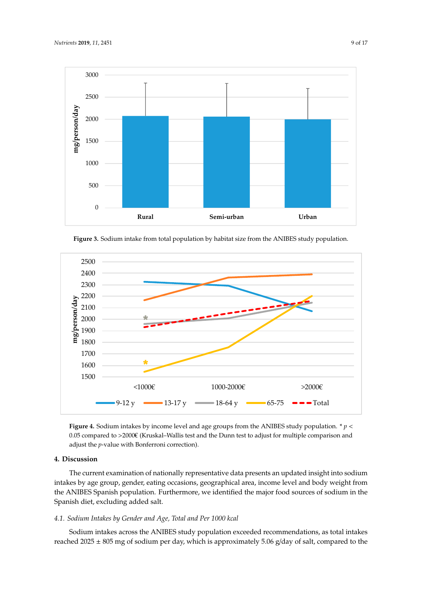<span id="page-8-0"></span>

Figure 3. Sodium intake from total population by habitat size from the ANIBES study population.

<span id="page-8-1"></span>

Figure 4. Sodium intakes by income level and age groups from the ANIBES study population. \*  $p <$ 0.05 compared to >2000€ (Kruskal–Wallis test and the Dunn test to adjust for multiple comparison and adjust the *p*-value with Bonferroni correction).

# **4. Discussion 4. Discussion 4. Discussion**

The current examination of nationally representative data presents an updated insight into sodium intakes by age group, gender, eating occasions, geographical area, income level and body weight from the ANIBES Spanish population. Furthermore, we identified the major food sources of sodium in the Spanish diet, excluding added salt.

# *4.1. Sodium Intakes by Gender and Age, Total and Per 1000 kcal 4.1. Sodium Intakes by Gender and Age, Total and Per 1000 kcal 4.1. Sodium Intakes by Gender and Age, Total and Per 1000 kcal*

Sodium intakes across the ANIBES study population exceeded recommendations, as total intakes reached 2025 ± 805 mg of sodium per day, which is approximately 5.06 g/day of salt, compared to the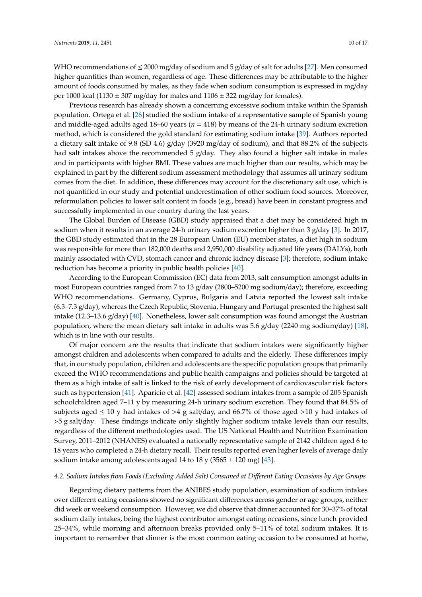WHO recommendations of  $\leq$  2000 mg/day of sodium and 5 g/day of salt for adults [\[27\]](#page-14-15). Men consumed higher quantities than women, regardless of age. These differences may be attributable to the higher amount of foods consumed by males, as they fade when sodium consumption is expressed in mg/day per 1000 kcal (1130  $\pm$  307 mg/day for males and 1106  $\pm$  322 mg/day for females).

Previous research has already shown a concerning excessive sodium intake within the Spanish population. Ortega et al. [\[26\]](#page-14-14) studied the sodium intake of a representative sample of Spanish young and middle-aged adults aged 18–60 years (*n* = 418) by means of the 24-h urinary sodium excretion method, which is considered the gold standard for estimating sodium intake [\[39\]](#page-15-7). Authors reported a dietary salt intake of 9.8 (SD 4.6) g/day (3920 mg/day of sodium), and that 88.2% of the subjects had salt intakes above the recommended 5 g/day. They also found a higher salt intake in males and in participants with higher BMI. These values are much higher than our results, which may be explained in part by the different sodium assessment methodology that assumes all urinary sodium comes from the diet. In addition, these differences may account for the discretionary salt use, which is not quantified in our study and potential underestimation of other sodium food sources. Moreover, reformulation policies to lower salt content in foods (e.g., bread) have been in constant progress and successfully implemented in our country during the last years.

The Global Burden of Disease (GBD) study appraised that a diet may be considered high in sodium when it results in an average 24-h urinary sodium excretion higher than 3 g/day [\[3\]](#page-13-2). In 2017, the GBD study estimated that in the 28 European Union (EU) member states, a diet high in sodium was responsible for more than 182,000 deaths and 2,950,000 disability adjusted life years (DALYs), both mainly associated with CVD, stomach cancer and chronic kidney disease [\[3\]](#page-13-2); therefore, sodium intake reduction has become a priority in public health policies [\[40\]](#page-15-8).

According to the European Commission (EC) data from 2013, salt consumption amongst adults in most European countries ranged from 7 to 13 g/day (2800–5200 mg sodium/day); therefore, exceeding WHO recommendations. Germany, Cyprus, Bulgaria and Latvia reported the lowest salt intake (6.3–7.3 g/day), whereas the Czech Republic, Slovenia, Hungary and Portugal presented the highest salt intake (12.3–13.6 g/day) [\[40\]](#page-15-8). Nonetheless, lower salt consumption was found amongst the Austrian population, where the mean dietary salt intake in adults was 5.6 g/day (2240 mg sodium/day) [\[18\]](#page-14-6), which is in line with our results.

Of major concern are the results that indicate that sodium intakes were significantly higher amongst children and adolescents when compared to adults and the elderly. These differences imply that, in our study population, children and adolescents are the specific population groups that primarily exceed the WHO recommendations and public health campaigns and policies should be targeted at them as a high intake of salt is linked to the risk of early development of cardiovascular risk factors such as hypertension [\[41\]](#page-15-9). Aparicio et al. [\[42\]](#page-15-10) assessed sodium intakes from a sample of 205 Spanish schoolchildren aged 7–11 y by measuring 24-h urinary sodium excretion. They found that 84.5% of subjects aged  $\leq 10$  y had intakes of >4 g salt/day, and 66.7% of those aged >10 y had intakes of >5 g salt/day. These findings indicate only slightly higher sodium intake levels than our results, regardless of the different methodologies used. The US National Health and Nutrition Examination Survey, 2011–2012 (NHANES) evaluated a nationally representative sample of 2142 children aged 6 to 18 years who completed a 24-h dietary recall. Their results reported even higher levels of average daily sodium intake among adolescents aged 14 to 18 y (3565  $\pm$  120 mg) [\[43\]](#page-15-11).

# *4.2. Sodium Intakes from Foods (Excluding Added Salt) Consumed at Different Eating Occasions by Age Groups*

Regarding dietary patterns from the ANIBES study population, examination of sodium intakes over different eating occasions showed no significant differences across gender or age groups, neither did week or weekend consumption. However, we did observe that dinner accounted for 30–37% of total sodium daily intakes, being the highest contributor amongst eating occasions, since lunch provided 25–34%, while morning and afternoon breaks provided only 5–11% of total sodium intakes. It is important to remember that dinner is the most common eating occasion to be consumed at home,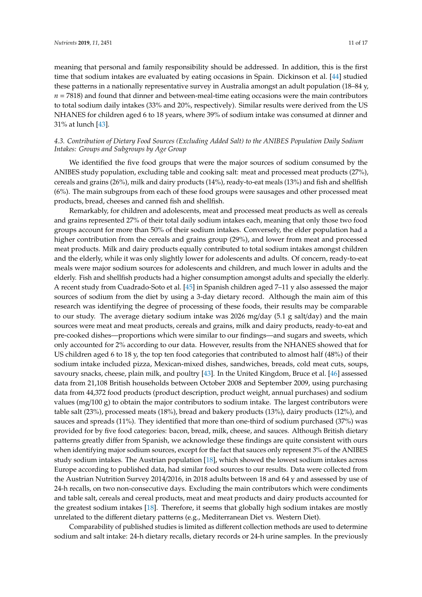meaning that personal and family responsibility should be addressed. In addition, this is the first time that sodium intakes are evaluated by eating occasions in Spain. Dickinson et al. [\[44\]](#page-15-12) studied these patterns in a nationally representative survey in Australia amongst an adult population (18–84 y,  $n = 7818$ ) and found that dinner and between-meal-time eating occasions were the main contributors to total sodium daily intakes (33% and 20%, respectively). Similar results were derived from the US NHANES for children aged 6 to 18 years, where 39% of sodium intake was consumed at dinner and 31% at lunch [\[43\]](#page-15-11).

# *4.3. Contribution of Dietary Food Sources (Excluding Added Salt) to the ANIBES Population Daily Sodium Intakes: Groups and Subgroups by Age Group*

We identified the five food groups that were the major sources of sodium consumed by the ANIBES study population, excluding table and cooking salt: meat and processed meat products (27%), cereals and grains (26%), milk and dairy products (14%), ready-to-eat meals (13%) and fish and shellfish (6%). The main subgroups from each of these food groups were sausages and other processed meat products, bread, cheeses and canned fish and shellfish.

Remarkably, for children and adolescents, meat and processed meat products as well as cereals and grains represented 27% of their total daily sodium intakes each, meaning that only those two food groups account for more than 50% of their sodium intakes. Conversely, the elder population had a higher contribution from the cereals and grains group (29%), and lower from meat and processed meat products. Milk and dairy products equally contributed to total sodium intakes amongst children and the elderly, while it was only slightly lower for adolescents and adults. Of concern, ready-to-eat meals were major sodium sources for adolescents and children, and much lower in adults and the elderly. Fish and shellfish products had a higher consumption amongst adults and specially the elderly. A recent study from Cuadrado-Soto et al. [\[45\]](#page-15-13) in Spanish children aged 7–11 y also assessed the major sources of sodium from the diet by using a 3-day dietary record. Although the main aim of this research was identifying the degree of processing of these foods, their results may be comparable to our study. The average dietary sodium intake was 2026 mg/day (5.1 g salt/day) and the main sources were meat and meat products, cereals and grains, milk and dairy products, ready-to-eat and pre-cooked dishes—proportions which were similar to our findings—and sugars and sweets, which only accounted for 2% according to our data. However, results from the NHANES showed that for US children aged 6 to 18 y, the top ten food categories that contributed to almost half (48%) of their sodium intake included pizza, Mexican-mixed dishes, sandwiches, breads, cold meat cuts, soups, savoury snacks, cheese, plain milk, and poultry [\[43\]](#page-15-11). In the United Kingdom, Bruce et al. [\[46\]](#page-15-14) assessed data from 21,108 British households between October 2008 and September 2009, using purchasing data from 44,372 food products (product description, product weight, annual purchases) and sodium values (mg/100 g) to obtain the major contributors to sodium intake. The largest contributors were table salt (23%), processed meats (18%), bread and bakery products (13%), dairy products (12%), and sauces and spreads (11%). They identified that more than one-third of sodium purchased (37%) was provided for by five food categories: bacon, bread, milk, cheese, and sauces. Although British dietary patterns greatly differ from Spanish, we acknowledge these findings are quite consistent with ours when identifying major sodium sources, except for the fact that sauces only represent 3% of the ANIBES study sodium intakes. The Austrian population [\[18\]](#page-14-6), which showed the lowest sodium intakes across Europe according to published data, had similar food sources to our results. Data were collected from the Austrian Nutrition Survey 2014/2016, in 2018 adults between 18 and 64 y and assessed by use of 24-h recalls, on two non-consecutive days. Excluding the main contributors which were condiments and table salt, cereals and cereal products, meat and meat products and dairy products accounted for the greatest sodium intakes [\[18\]](#page-14-6). Therefore, it seems that globally high sodium intakes are mostly unrelated to the different dietary patterns (e.g., Mediterranean Diet vs. Western Diet).

Comparability of published studies is limited as different collection methods are used to determine sodium and salt intake: 24-h dietary recalls, dietary records or 24-h urine samples. In the previously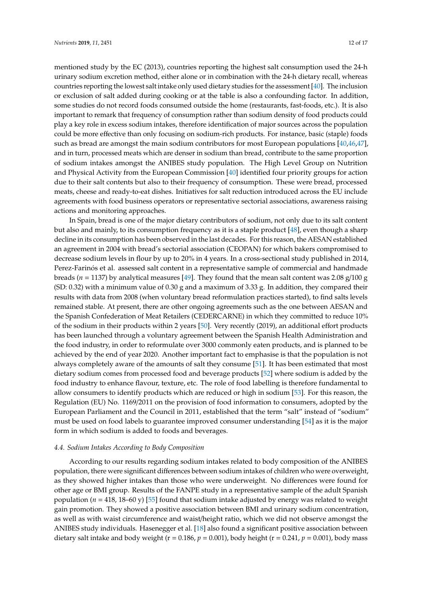mentioned study by the EC (2013), countries reporting the highest salt consumption used the 24-h urinary sodium excretion method, either alone or in combination with the 24-h dietary recall, whereas countries reporting the lowest salt intake only used dietary studies for the assessment [\[40\]](#page-15-8). The inclusion or exclusion of salt added during cooking or at the table is also a confounding factor. In addition, some studies do not record foods consumed outside the home (restaurants, fast-foods, etc.). It is also important to remark that frequency of consumption rather than sodium density of food products could play a key role in excess sodium intakes, therefore identification of major sources across the population could be more effective than only focusing on sodium-rich products. For instance, basic (staple) foods such as bread are amongst the main sodium contributors for most European populations [\[40,](#page-15-8)[46,](#page-15-14)[47\]](#page-15-15), and in turn, processed meats which are denser in sodium than bread, contribute to the same proportion of sodium intakes amongst the ANIBES study population. The High Level Group on Nutrition and Physical Activity from the European Commission [\[40\]](#page-15-8) identified four priority groups for action due to their salt contents but also to their frequency of consumption. These were bread, processed meats, cheese and ready-to-eat dishes. Initiatives for salt reduction introduced across the EU include agreements with food business operators or representative sectorial associations, awareness raising actions and monitoring approaches.

In Spain, bread is one of the major dietary contributors of sodium, not only due to its salt content but also and mainly, to its consumption frequency as it is a staple product [\[48\]](#page-15-16), even though a sharp decline in its consumption has been observed in the last decades. For this reason, the AESAN established an agreement in 2004 with bread's sectorial association (CEOPAN) for which bakers compromised to decrease sodium levels in flour by up to 20% in 4 years. In a cross-sectional study published in 2014, Perez-Farinós et al. assessed salt content in a representative sample of commercial and handmade breads (*n* = 1137) by analytical measures [\[49\]](#page-15-17). They found that the mean salt content was 2.08 g/100 g (SD: 0.32) with a minimum value of 0.30 g and a maximum of 3.33 g. In addition, they compared their results with data from 2008 (when voluntary bread reformulation practices started), to find salts levels remained stable. At present, there are other ongoing agreements such as the one between AESAN and the Spanish Confederation of Meat Retailers (CEDERCARNE) in which they committed to reduce 10% of the sodium in their products within 2 years [\[50\]](#page-15-18). Very recently (2019), an additional effort products has been launched through a voluntary agreement between the Spanish Health Administration and the food industry, in order to reformulate over 3000 commonly eaten products, and is planned to be achieved by the end of year 2020. Another important fact to emphasise is that the population is not always completely aware of the amounts of salt they consume [\[51\]](#page-16-0). It has been estimated that most dietary sodium comes from processed food and beverage products [\[52\]](#page-16-1) where sodium is added by the food industry to enhance flavour, texture, etc. The role of food labelling is therefore fundamental to allow consumers to identify products which are reduced or high in sodium [\[53\]](#page-16-2). For this reason, the Regulation (EU) No. 1169/2011 on the provision of food information to consumers, adopted by the European Parliament and the Council in 2011, established that the term "salt" instead of "sodium" must be used on food labels to guarantee improved consumer understanding [\[54\]](#page-16-3) as it is the major form in which sodium is added to foods and beverages.

## *4.4. Sodium Intakes According to Body Composition*

According to our results regarding sodium intakes related to body composition of the ANIBES population, there were significant differences between sodium intakes of children who were overweight, as they showed higher intakes than those who were underweight. No differences were found for other age or BMI group. Results of the FANPE study in a representative sample of the adult Spanish population (*n* = 418, 18–60 y) [\[55\]](#page-16-4) found that sodium intake adjusted by energy was related to weight gain promotion. They showed a positive association between BMI and urinary sodium concentration, as well as with waist circumference and waist/height ratio, which we did not observe amongst the ANIBES study individuals. Hasenegger et al. [\[18\]](#page-14-6) also found a significant positive association between dietary salt intake and body weight ( $r = 0.186$ ,  $p = 0.001$ ), body height ( $r = 0.241$ ,  $p = 0.001$ ), body mass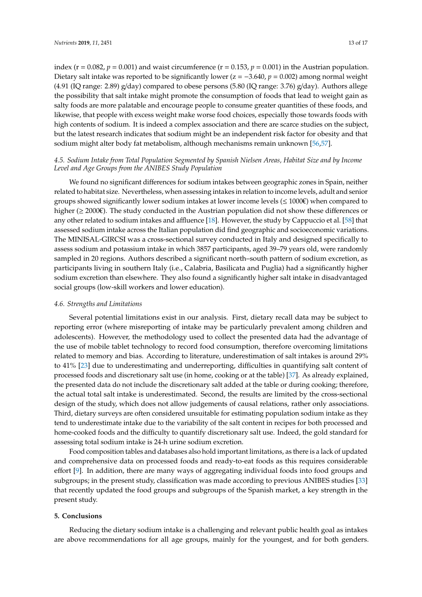index ( $r = 0.082$ ,  $p = 0.001$ ) and waist circumference ( $r = 0.153$ ,  $p = 0.001$ ) in the Austrian population. Dietary salt intake was reported to be significantly lower (z = −3.640, *p* = 0.002) among normal weight (4.91 (IQ range: 2.89) g/day) compared to obese persons (5.80 (IQ range: 3.76) g/day). Authors allege the possibility that salt intake might promote the consumption of foods that lead to weight gain as salty foods are more palatable and encourage people to consume greater quantities of these foods, and likewise, that people with excess weight make worse food choices, especially those towards foods with high contents of sodium. It is indeed a complex association and there are scarce studies on the subject, but the latest research indicates that sodium might be an independent risk factor for obesity and that sodium might alter body fat metabolism, although mechanisms remain unknown [\[56,](#page-16-5)[57\]](#page-16-6).

# *4.5. Sodium Intake from Total Population Segmented by Spanish Nielsen Areas, Habitat Size and by Income Level and Age Groups from the ANIBES Study Population*

We found no significant differences for sodium intakes between geographic zones in Spain, neither related to habitat size. Nevertheless, when assessing intakes in relation to income levels, adult and senior groups showed significantly lower sodium intakes at lower income levels ( $\leq 1000 \varepsilon$ ) when compared to higher (≥ 2000€). The study conducted in the Austrian population did not show these differences or any other related to sodium intakes and affluence [\[18\]](#page-14-6). However, the study by Cappuccio et al. [\[58\]](#page-16-7) that assessed sodium intake across the Italian population did find geographic and socioeconomic variations. The MINISAL-GIRCSI was a cross-sectional survey conducted in Italy and designed specifically to assess sodium and potassium intake in which 3857 participants, aged 39–79 years old, were randomly sampled in 20 regions. Authors described a significant north–south pattern of sodium excretion, as participants living in southern Italy (i.e., Calabria, Basilicata and Puglia) had a significantly higher sodium excretion than elsewhere. They also found a significantly higher salt intake in disadvantaged social groups (low-skill workers and lower education).

### *4.6. Strengths and Limitations*

Several potential limitations exist in our analysis. First, dietary recall data may be subject to reporting error (where misreporting of intake may be particularly prevalent among children and adolescents). However, the methodology used to collect the presented data had the advantage of the use of mobile tablet technology to record food consumption, therefore overcoming limitations related to memory and bias. According to literature, underestimation of salt intakes is around 29% to 41% [\[23\]](#page-14-11) due to underestimating and underreporting, difficulties in quantifying salt content of processed foods and discretionary salt use (in home, cooking or at the table) [\[37\]](#page-15-5). As already explained, the presented data do not include the discretionary salt added at the table or during cooking; therefore, the actual total salt intake is underestimated. Second, the results are limited by the cross-sectional design of the study, which does not allow judgements of causal relations, rather only associations. Third, dietary surveys are often considered unsuitable for estimating population sodium intake as they tend to underestimate intake due to the variability of the salt content in recipes for both processed and home-cooked foods and the difficulty to quantify discretionary salt use. Indeed, the gold standard for assessing total sodium intake is 24-h urine sodium excretion.

Food composition tables and databases also hold important limitations, as there is a lack of updated and comprehensive data on processed foods and ready-to-eat foods as this requires considerable effort [\[9\]](#page-13-7). In addition, there are many ways of aggregating individual foods into food groups and subgroups; in the present study, classification was made according to previous ANIBES studies [\[33\]](#page-15-1) that recently updated the food groups and subgroups of the Spanish market, a key strength in the present study.

# **5. Conclusions**

Reducing the dietary sodium intake is a challenging and relevant public health goal as intakes are above recommendations for all age groups, mainly for the youngest, and for both genders.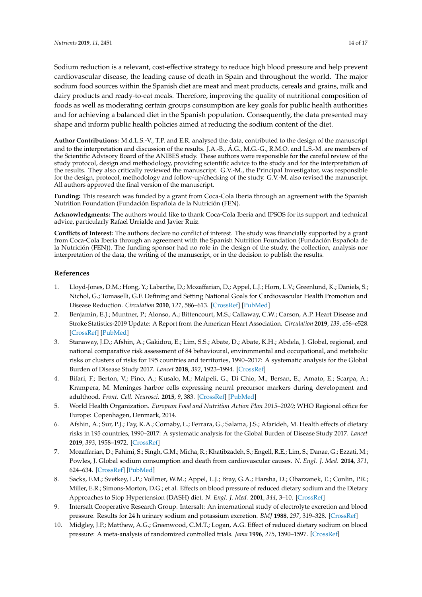Sodium reduction is a relevant, cost-effective strategy to reduce high blood pressure and help prevent cardiovascular disease, the leading cause of death in Spain and throughout the world. The major sodium food sources within the Spanish diet are meat and meat products, cereals and grains, milk and dairy products and ready-to-eat meals. Therefore, improving the quality of nutritional composition of foods as well as moderating certain groups consumption are key goals for public health authorities and for achieving a balanced diet in the Spanish population. Consequently, the data presented may shape and inform public health policies aimed at reducing the sodium content of the diet.

**Author Contributions:** M.d.L.S.-V., T.P. and E.R. analysed the data, contributed to the design of the manuscript and to the interpretation and discussion of the results. J.A.-B., Á.G., M.G.-G., R.M.O. and L.S.-M. are members of the Scientific Advisory Board of the ANIBES study. These authors were responsible for the careful review of the study protocol, design and methodology, providing scientific advice to the study and for the interpretation of the results. They also critically reviewed the manuscript. G.V.-M., the Principal Investigator, was responsible for the design, protocol, methodology and follow-up/checking of the study. G.V.-M. also revised the manuscript. All authors approved the final version of the manuscript.

**Funding:** This research was funded by a grant from Coca-Cola Iberia through an agreement with the Spanish Nutrition Foundation (Fundación Española de la Nutrición (FEN).

**Acknowledgments:** The authors would like to thank Coca-Cola Iberia and IPSOS for its support and technical advice, particularly Rafael Urrialde and Javier Ruiz.

**Conflicts of Interest:** The authors declare no conflict of interest. The study was financially supported by a grant from Coca-Cola Iberia through an agreement with the Spanish Nutrition Foundation (Fundación Española de la Nutrición (FEN)). The funding sponsor had no role in the design of the study, the collection, analysis nor interpretation of the data, the writing of the manuscript, or in the decision to publish the results.

# **References**

- <span id="page-13-0"></span>1. Lloyd-Jones, D.M.; Hong, Y.; Labarthe, D.; Mozaffarian, D.; Appel, L.J.; Horn, L.V.; Greenlund, K.; Daniels, S.; Nichol, G.; Tomaselli, G.F. Defining and Setting National Goals for Cardiovascular Health Promotion and Disease Reduction. *Circulation* **2010**, *121*, 586–613. [\[CrossRef\]](http://dx.doi.org/10.1161/CIRCULATIONAHA.109.192703) [\[PubMed\]](http://www.ncbi.nlm.nih.gov/pubmed/20089546)
- <span id="page-13-1"></span>2. Benjamin, E.J.; Muntner, P.; Alonso, A.; Bittencourt, M.S.; Callaway, C.W.; Carson, A.P. Heart Disease and Stroke Statistics-2019 Update: A Report from the American Heart Association. *Circulation* **2019**, *139*, e56–e528. [\[CrossRef\]](http://dx.doi.org/10.1161/CIR.0000000000000659) [\[PubMed\]](http://www.ncbi.nlm.nih.gov/pubmed/30700139)
- <span id="page-13-2"></span>3. Stanaway, J.D.; Afshin, A.; Gakidou, E.; Lim, S.S.; Abate, D.; Abate, K.H.; Abdela, J. Global, regional, and national comparative risk assessment of 84 behavioural, environmental and occupational, and metabolic risks or clusters of risks for 195 countries and territories, 1990–2017: A systematic analysis for the Global Burden of Disease Study 2017. *Lancet* **2018**, *392*, 1923–1994. [\[CrossRef\]](http://dx.doi.org/10.1016/S0140-6736(18)32225-6)
- <span id="page-13-3"></span>4. Bifari, F.; Berton, V.; Pino, A.; Kusalo, M.; Malpeli, G.; Di Chio, M.; Bersan, E.; Amato, E.; Scarpa, A.; Krampera, M. Meninges harbor cells expressing neural precursor markers during development and adulthood. *Front. Cell. Neurosci.* **2015**, *9*, 383. [\[CrossRef\]](http://dx.doi.org/10.3389/fncel.2015.00383) [\[PubMed\]](http://www.ncbi.nlm.nih.gov/pubmed/26483637)
- <span id="page-13-4"></span>5. World Health Organization. *European Food and Nutrition Action Plan 2015–2020*; WHO Regional office for Europe: Copenhagen, Denmark, 2014.
- <span id="page-13-5"></span>6. Afshin, A.; Sur, P.J.; Fay, K.A.; Cornaby, L.; Ferrara, G.; Salama, J.S.; Afarideh, M. Health effects of dietary risks in 195 countries, 1990–2017: A systematic analysis for the Global Burden of Disease Study 2017. *Lancet* **2019**, *393*, 1958–1972. [\[CrossRef\]](http://dx.doi.org/10.1016/S0140-6736(19)30041-8)
- <span id="page-13-6"></span>7. Mozaffarian, D.; Fahimi, S.; Singh, G.M.; Micha, R.; Khatibzadeh, S.; Engell, R.E.; Lim, S.; Danae, G.; Ezzati, M.; Powles, J. Global sodium consumption and death from cardiovascular causes. *N. Engl. J. Med.* **2014**, *371*, 624–634. [\[CrossRef\]](http://dx.doi.org/10.1056/NEJMoa1304127) [\[PubMed\]](http://www.ncbi.nlm.nih.gov/pubmed/25119608)
- 8. Sacks, F.M.; Svetkey, L.P.; Vollmer, W.M.; Appel, L.J.; Bray, G.A.; Harsha, D.; Obarzanek, E.; Conlin, P.R.; Miller, E.R.; Simons-Morton, D.G.; et al. Effects on blood pressure of reduced dietary sodium and the Dietary Approaches to Stop Hypertension (DASH) diet. *N. Engl. J. Med.* **2001**, *344*, 3–10. [\[CrossRef\]](http://dx.doi.org/10.1056/NEJM200101043440101)
- <span id="page-13-7"></span>9. Intersalt Cooperative Research Group. Intersalt: An international study of electrolyte excretion and blood pressure. Results for 24 h urinary sodium and potassium excretion. *BMJ* **1988**, *297*, 319–328. [\[CrossRef\]](http://dx.doi.org/10.1136/bmj.297.6644.319)
- 10. Midgley, J.P.; Matthew, A.G.; Greenwood, C.M.T.; Logan, A.G. Effect of reduced dietary sodium on blood pressure: A meta-analysis of randomized controlled trials. *Jama* **1996**, *275*, 1590–1597. [\[CrossRef\]](http://dx.doi.org/10.1001/jama.1996.03530440070039)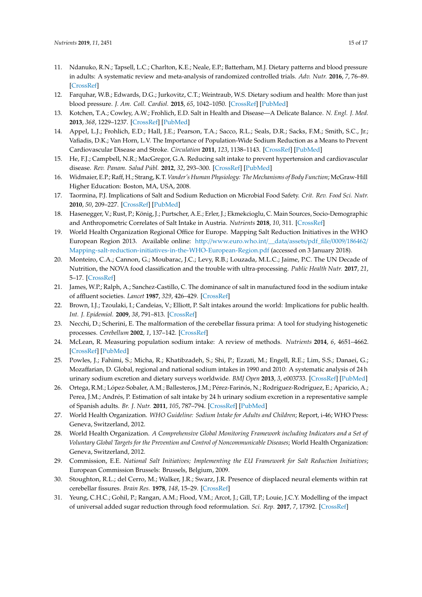- <span id="page-14-0"></span>11. Ndanuko, R.N.; Tapsell, L.C.; Charlton, K.E.; Neale, E.P.; Batterham, M.J. Dietary patterns and blood pressure in adults: A systematic review and meta-analysis of randomized controlled trials. *Adv. Nutr.* **2016**, *7*, 76–89. [\[CrossRef\]](http://dx.doi.org/10.3945/an.115.009753)
- <span id="page-14-1"></span>12. Farquhar, W.B.; Edwards, D.G.; Jurkovitz, C.T.; Weintraub, W.S. Dietary sodium and health: More than just blood pressure. *J. Am. Coll. Cardiol.* **2015**, *65*, 1042–1050. [\[CrossRef\]](http://dx.doi.org/10.1016/j.jacc.2014.12.039) [\[PubMed\]](http://www.ncbi.nlm.nih.gov/pubmed/25766952)
- 13. Kotchen, T.A.; Cowley, A.W.; Frohlich, E.D. Salt in Health and Disease—A Delicate Balance. *N. Engl. J. Med.* **2013**, *368*, 1229–1237. [\[CrossRef\]](http://dx.doi.org/10.1056/NEJMra1212606) [\[PubMed\]](http://www.ncbi.nlm.nih.gov/pubmed/23534562)
- <span id="page-14-2"></span>14. Appel, L.J.; Frohlich, E.D.; Hall, J.E.; Pearson, T.A.; Sacco, R.L.; Seals, D.R.; Sacks, F.M.; Smith, S.C., Jr.; Vafiadis, D.K.; Van Horn, L.V. The Importance of Population-Wide Sodium Reduction as a Means to Prevent Cardiovascular Disease and Stroke. *Circulation* **2011**, *123*, 1138–1143. [\[CrossRef\]](http://dx.doi.org/10.1161/CIR.0b013e31820d0793) [\[PubMed\]](http://www.ncbi.nlm.nih.gov/pubmed/21233236)
- <span id="page-14-3"></span>15. He, F.J.; Campbell, N.R.; MacGregor, G.A. Reducing salt intake to prevent hypertension and cardiovascular disease. *Rev. Panam. Salud Públ.* **2012**, *32*, 293–300. [\[CrossRef\]](http://dx.doi.org/10.1590/S1020-49892012001000008) [\[PubMed\]](http://www.ncbi.nlm.nih.gov/pubmed/23299291)
- <span id="page-14-4"></span>16. Widmaier, E.P.; Raff, H.; Strang, K.T. *Vander's Human Physiology: The Mechanisms of Body Function*; McGraw-Hill Higher Education: Boston, MA, USA, 2008.
- <span id="page-14-5"></span>17. Taormina, P.J. Implications of Salt and Sodium Reduction on Microbial Food Safety. *Crit. Rev. Food Sci. Nutr.* **2010**, *50*, 209–227. [\[CrossRef\]](http://dx.doi.org/10.1080/10408391003626207) [\[PubMed\]](http://www.ncbi.nlm.nih.gov/pubmed/20301012)
- <span id="page-14-6"></span>18. Hasenegger, V.; Rust, P.; König, J.; Purtscher, A.E.; Erler, J.; Ekmekcioglu, C. Main Sources, Socio-Demographic and Anthropometric Correlates of Salt Intake in Austria. *Nutrients* **2018**, *10*, 311. [\[CrossRef\]](http://dx.doi.org/10.3390/nu10030311)
- <span id="page-14-7"></span>19. World Health Organization Regional Office for Europe. Mapping Salt Reduction Initiatives in the WHO European Region 2013. Available online: http://[www.euro.who.int](http://www.euro.who.int/__data/assets/pdf_file/0009/186462/Mapping-salt-reduction-initiatives-in-the-WHO-European-Region.pdf)/\_\_data/assets/pdf\_file/0009/186462/ [Mapping-salt-reduction-initiatives-in-the-WHO-European-Region.pdf](http://www.euro.who.int/__data/assets/pdf_file/0009/186462/Mapping-salt-reduction-initiatives-in-the-WHO-European-Region.pdf) (accessed on 3 January 2018).
- <span id="page-14-8"></span>20. Monteiro, C.A.; Cannon, G.; Moubarac, J.C.; Levy, R.B.; Louzada, M.L.C.; Jaime, P.C. The UN Decade of Nutrition, the NOVA food classification and the trouble with ultra-processing. *Public Health Nutr.* **2017**, *21*, 5–17. [\[CrossRef\]](http://dx.doi.org/10.1017/S1368980017000234)
- <span id="page-14-9"></span>21. James, W.P.; Ralph, A.; Sanchez-Castillo, C. The dominance of salt in manufactured food in the sodium intake of affluent societies. *Lancet* **1987**, *329*, 426–429. [\[CrossRef\]](http://dx.doi.org/10.1016/S0140-6736(87)90127-9)
- <span id="page-14-10"></span>22. Brown, I.J.; Tzoulaki, I.; Candeias, V.; Elliott, P. Salt intakes around the world: Implications for public health. *Int. J. Epidemiol.* **2009**, *38*, 791–813. [\[CrossRef\]](http://dx.doi.org/10.1093/ije/dyp139)
- <span id="page-14-11"></span>23. Necchi, D.; Scherini, E. The malformation of the cerebellar fissura prima: A tool for studying histogenetic processes. *Cerebellum* **2002**, *1*, 137–142. [\[CrossRef\]](http://dx.doi.org/10.1080/147342202753671277)
- <span id="page-14-12"></span>24. McLean, R. Measuring population sodium intake: A review of methods. *Nutrients* **2014**, *6*, 4651–4662. [\[CrossRef\]](http://dx.doi.org/10.3390/nu6114651) [\[PubMed\]](http://www.ncbi.nlm.nih.gov/pubmed/25353661)
- <span id="page-14-13"></span>25. Powles, J.; Fahimi, S.; Micha, R.; Khatibzadeh, S.; Shi, P.; Ezzati, M.; Engell, R.E.; Lim, S.S.; Danaei, G.; Mozaffarian, D. Global, regional and national sodium intakes in 1990 and 2010: A systematic analysis of 24 h urinary sodium excretion and dietary surveys worldwide. *BMJ Open* **2013**, *3*, e003733. [\[CrossRef\]](http://dx.doi.org/10.1136/bmjopen-2013-003733) [\[PubMed\]](http://www.ncbi.nlm.nih.gov/pubmed/24366578)
- <span id="page-14-14"></span>26. Ortega, R.M.; López-Sobaler, A.M.; Ballesteros, J.M.; Pérez-Farinós, N.; Rodríguez-Rodríguez, E.; Aparicio, A.; Perea, J.M.; Andrés, P. Estimation of salt intake by 24 h urinary sodium excretion in a representative sample of Spanish adults. *Br. J. Nutr.* **2011**, *105*, 787–794. [\[CrossRef\]](http://dx.doi.org/10.1017/S000711451000423X) [\[PubMed\]](http://www.ncbi.nlm.nih.gov/pubmed/20969815)
- <span id="page-14-15"></span>27. World Health Organization. *WHO Guideline: Sodium Intake for Adults and Children*; Report, i-46; WHO Press: Geneva, Switzerland, 2012.
- <span id="page-14-16"></span>28. World Health Organization. *A Comprehensive Global Monitoring Framework including Indicators and a Set of Voluntary Global Targets for the Prevention and Control of Noncommunicable Diseases*; World Health Organization: Geneva, Switzerland, 2012.
- <span id="page-14-17"></span>29. Commission, E.E. *National Salt Initiatives; Implementing the EU Framework for Salt Reduction Initiatives*; European Commission Brussels: Brussels, Belgium, 2009.
- <span id="page-14-18"></span>30. Stoughton, R.L.; del Cerro, M.; Walker, J.R.; Swarz, J.R. Presence of displaced neural elements within rat cerebellar fissures. *Brain Res.* **1978**, *148*, 15–29. [\[CrossRef\]](http://dx.doi.org/10.1016/0006-8993(78)90375-X)
- <span id="page-14-19"></span>31. Yeung, C.H.C.; Gohil, P.; Rangan, A.M.; Flood, V.M.; Arcot, J.; Gill, T.P.; Louie, J.C.Y. Modelling of the impact of universal added sugar reduction through food reformulation. *Sci. Rep.* **2017**, *7*, 17392. [\[CrossRef\]](http://dx.doi.org/10.1038/s41598-017-17417-8)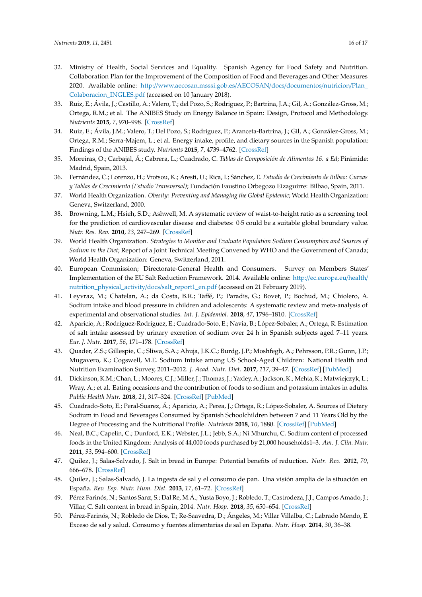- <span id="page-15-0"></span>32. Ministry of Health, Social Services and Equality. Spanish Agency for Food Safety and Nutrition. Collaboration Plan for the Improvement of the Composition of Food and Beverages and Other Measures 2020. Available online: http://[www.aecosan.msssi.gob.es](http://www.aecosan.msssi.gob.es/AECOSAN/docs/documentos/nutricion/Plan_Colaboracion_INGLES.pdf)/AECOSAN/docs/documentos/nutricion/Plan\_ [Colaboracion\\_INGLES.pdf](http://www.aecosan.msssi.gob.es/AECOSAN/docs/documentos/nutricion/Plan_Colaboracion_INGLES.pdf) (accessed on 10 January 2018).
- <span id="page-15-1"></span>33. Ruiz, E.; Ávila, J.; Castillo, A.; Valero, T.; del Pozo, S.; Rodriguez, P.; Bartrina, J.A.; Gil, A.; González-Gross, M.; Ortega, R.M.; et al. The ANIBES Study on Energy Balance in Spain: Design, Protocol and Methodology. *Nutrients* **2015**, *7*, 970–998. [\[CrossRef\]](http://dx.doi.org/10.3390/nu7020970)
- <span id="page-15-2"></span>34. Ruiz, E.; Ávila, J.M.; Valero, T.; Del Pozo, S.; Rodriguez, P.; Aranceta-Bartrina, J.; Gil, A.; González-Gross, M.; Ortega, R.M.; Serra-Majem, L.; et al. Energy intake, profile, and dietary sources in the Spanish population: Findings of the ANIBES study. *Nutrients* **2015**, *7*, 4739–4762. [\[CrossRef\]](http://dx.doi.org/10.3390/nu7064739)
- <span id="page-15-3"></span>35. Moreiras, O.; Carbajal, Á.; Cabrera, L.; Cuadrado, C. *Tablas de Composición de Alimentos 16. a Ed*; Pirámide: Madrid, Spain, 2013.
- <span id="page-15-4"></span>36. Fernández, C.; Lorenzo, H.; Vrotsou, K.; Aresti, U.; Rica, I.; Sánchez, E. *Estudio de Crecimiento de Bilbao: Curvas y Tablas de Crecimiento (Estudio Transversal)*; Fundación Faustino Orbegozo Eizaguirre: Bilbao, Spain, 2011.
- <span id="page-15-5"></span>37. World Health Organization. *Obesity: Preventing and Managing the Global Epidemic*; World Health Organization: Geneva, Switzerland, 2000.
- <span id="page-15-6"></span>38. Browning, L.M.; Hsieh, S.D.; Ashwell, M. A systematic review of waist-to-height ratio as a screening tool for the prediction of cardiovascular disease and diabetes: 0·5 could be a suitable global boundary value. *Nutr. Res. Rev.* **2010**, *23*, 247–269. [\[CrossRef\]](http://dx.doi.org/10.1017/S0954422410000144)
- <span id="page-15-7"></span>39. World Health Organization. *Strategies to Monitor and Evaluate Population Sodium Consumption and Sources of Sodium in the Diet*; Report of a Joint Technical Meeting Convened by WHO and the Government of Canada; World Health Organization: Geneva, Switzerland, 2011.
- <span id="page-15-8"></span>40. European Commission; Directorate-General Health and Consumers. Survey on Members States' Implementation of the EU Salt Reduction Framework. 2014. Available online: http://[ec.europa.eu](http://ec.europa.eu/health/nutrition_physical_activity/docs/salt_report1_en.pdf)/health/ [nutrition\\_physical\\_activity](http://ec.europa.eu/health/nutrition_physical_activity/docs/salt_report1_en.pdf)/docs/salt\_report1\_en.pdf (accessed on 21 February 2019).
- <span id="page-15-9"></span>41. Leyvraz, M.; Chatelan, A.; da Costa, B.R.; Taffé, P.; Paradis, G.; Bovet, P.; Bochud, M.; Chiolero, A. Sodium intake and blood pressure in children and adolescents: A systematic review and meta-analysis of experimental and observational studies. *Int. J. Epidemiol.* **2018**, *47*, 1796–1810. [\[CrossRef\]](http://dx.doi.org/10.1093/ije/dyy121)
- <span id="page-15-10"></span>42. Aparicio, A.; Rodríguez-Rodríguez, E.; Cuadrado-Soto, E.; Navia, B.; López-Sobaler, A.; Ortega, R. Estimation of salt intake assessed by urinary excretion of sodium over 24 h in Spanish subjects aged 7–11 years. *Eur. J. Nutr.* **2017**, *56*, 171–178. [\[CrossRef\]](http://dx.doi.org/10.1007/s00394-015-1067-y)
- <span id="page-15-11"></span>43. Quader, Z.S.; Gillespie, C.; Sliwa, S.A.; Ahuja, J.K.C.; Burdg, J.P.; Moshfegh, A.; Pehrsson, P.R.; Gunn, J.P.; Mugavero, K.; Cogswell, M.E. Sodium Intake among US School-Aged Children: National Health and Nutrition Examination Survey, 2011–2012. *J. Acad. Nutr. Diet.* **2017**, *117*, 39–47. [\[CrossRef\]](http://dx.doi.org/10.1016/j.jand.2016.09.010) [\[PubMed\]](http://www.ncbi.nlm.nih.gov/pubmed/27818138)
- <span id="page-15-12"></span>44. Dickinson, K.M.; Chan, L.; Moores, C.J.; Miller, J.; Thomas, J.; Yaxley, A.; Jackson, K.; Mehta, K.; Matwiejczyk, L.; Wray, A.; et al. Eating occasions and the contribution of foods to sodium and potassium intakes in adults. *Public Health Nutr.* **2018**, *21*, 317–324. [\[CrossRef\]](http://dx.doi.org/10.1017/S1368980017002968) [\[PubMed\]](http://www.ncbi.nlm.nih.gov/pubmed/29108531)
- <span id="page-15-13"></span>45. Cuadrado-Soto, E.; Peral-Suarez, Á.; Aparicio, A.; Perea, J.; Ortega, R.; López-Sobaler, A. Sources of Dietary Sodium in Food and Beverages Consumed by Spanish Schoolchildren between 7 and 11 Years Old by the Degree of Processing and the Nutritional Profile. *Nutrients* **2018**, *10*, 1880. [\[CrossRef\]](http://dx.doi.org/10.3390/nu10121880) [\[PubMed\]](http://www.ncbi.nlm.nih.gov/pubmed/30513875)
- <span id="page-15-14"></span>46. Neal, B.C.; Capelin, C.; Dunford, E.K.; Webster, J.L.; Jebb, S.A.; Ni Mhurchu, C. Sodium content of processed foods in the United Kingdom: Analysis of 44,000 foods purchased by 21,000 households1–3. *Am. J. Clin. Nutr.* **2011**, *93*, 594–600. [\[CrossRef\]](http://dx.doi.org/10.3945/ajcn.110.004481)
- <span id="page-15-15"></span>47. Quilez, J.; Salas-Salvado, J. Salt in bread in Europe: Potential benefits of reduction. *Nutr. Rev.* **2012**, *70*, 666–678. [\[CrossRef\]](http://dx.doi.org/10.1111/j.1753-4887.2012.00540.x)
- <span id="page-15-16"></span>48. Quílez, J.; Salas-Salvadó, J. La ingesta de sal y el consumo de pan. Una visión amplia de la situación en España. *Rev. Esp. Nutr. Hum. Diet.* **2013**, *17*, 61–72. [\[CrossRef\]](http://dx.doi.org/10.14306/renhyd.17.2.12)
- <span id="page-15-17"></span>49. Pérez Farinós, N.; Santos Sanz, S.; Dal Re, M.Á.; Yusta Boyo, J.; Robledo, T.; Castrodeza, J.J.; Campos Amado, J.; Villar, C. Salt content in bread in Spain, 2014. *Nutr. Hosp.* **2018**, *35*, 650–654. [\[CrossRef\]](http://dx.doi.org/10.20960/nh.1339)
- <span id="page-15-18"></span>50. Pérez-Farinós, N.; Robledo de Dios, T.; Re-Saavedra, D.; Ángeles, M.; Villar Villalba, C.; Labrado Mendo, E. Exceso de sal y salud. Consumo y fuentes alimentarias de sal en España. *Nutr. Hosp.* **2014**, *30*, 36–38.